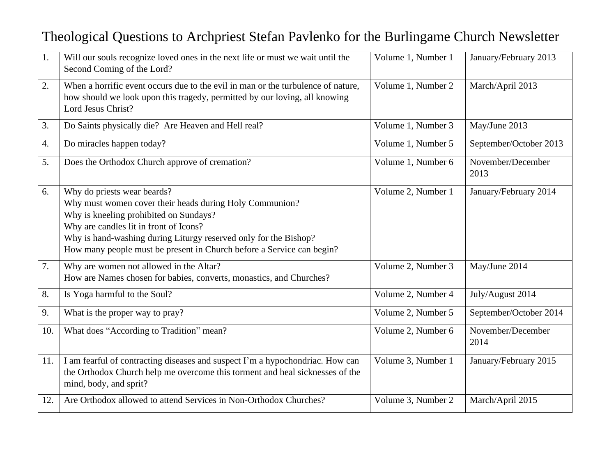## Theological Questions to Archpriest Stefan Pavlenko for the Burlingame Church Newsletter

| 1.               | Will our souls recognize loved ones in the next life or must we wait until the<br>Second Coming of the Lord?                                                                                                                                                                                                            | Volume 1, Number 1 | January/February 2013     |
|------------------|-------------------------------------------------------------------------------------------------------------------------------------------------------------------------------------------------------------------------------------------------------------------------------------------------------------------------|--------------------|---------------------------|
| 2.               | When a horrific event occurs due to the evil in man or the turbulence of nature,<br>how should we look upon this tragedy, permitted by our loving, all knowing<br>Lord Jesus Christ?                                                                                                                                    | Volume 1, Number 2 | March/April 2013          |
| 3.               | Do Saints physically die? Are Heaven and Hell real?                                                                                                                                                                                                                                                                     | Volume 1, Number 3 | May/June 2013             |
| $\overline{4}$ . | Do miracles happen today?                                                                                                                                                                                                                                                                                               | Volume 1, Number 5 | September/October 2013    |
| 5.               | Does the Orthodox Church approve of cremation?                                                                                                                                                                                                                                                                          | Volume 1, Number 6 | November/December<br>2013 |
| 6.               | Why do priests wear beards?<br>Why must women cover their heads during Holy Communion?<br>Why is kneeling prohibited on Sundays?<br>Why are candles lit in front of Icons?<br>Why is hand-washing during Liturgy reserved only for the Bishop?<br>How many people must be present in Church before a Service can begin? | Volume 2, Number 1 | January/February 2014     |
| 7.               | Why are women not allowed in the Altar?<br>How are Names chosen for babies, converts, monastics, and Churches?                                                                                                                                                                                                          | Volume 2, Number 3 | May/June 2014             |
| 8.               | Is Yoga harmful to the Soul?                                                                                                                                                                                                                                                                                            | Volume 2, Number 4 | July/August 2014          |
| 9.               | What is the proper way to pray?                                                                                                                                                                                                                                                                                         | Volume 2, Number 5 | September/October 2014    |
| 10.              | What does "According to Tradition" mean?                                                                                                                                                                                                                                                                                | Volume 2, Number 6 | November/December<br>2014 |
| 11.              | I am fearful of contracting diseases and suspect I'm a hypochondriac. How can<br>the Orthodox Church help me overcome this torment and heal sicknesses of the<br>mind, body, and sprit?                                                                                                                                 | Volume 3, Number 1 | January/February 2015     |
| 12.              | Are Orthodox allowed to attend Services in Non-Orthodox Churches?                                                                                                                                                                                                                                                       | Volume 3, Number 2 | March/April 2015          |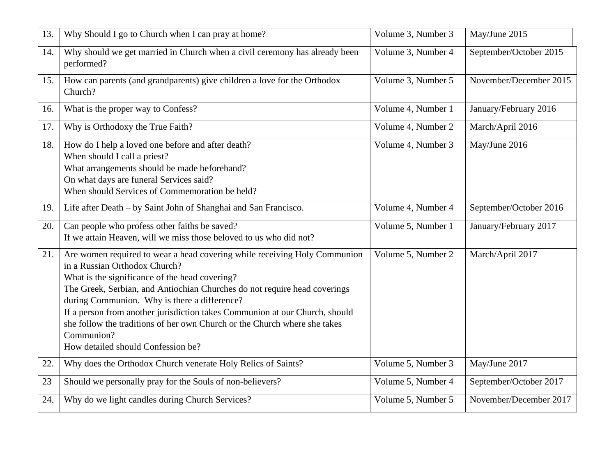| 13. | Why Should I go to Church when I can pray at home?                                                                                                                                                                                                                                                                                                                                                                                                                                                        | Volume 3, Number 3 | May/June 2015          |
|-----|-----------------------------------------------------------------------------------------------------------------------------------------------------------------------------------------------------------------------------------------------------------------------------------------------------------------------------------------------------------------------------------------------------------------------------------------------------------------------------------------------------------|--------------------|------------------------|
| 14. | Why should we get married in Church when a civil ceremony has already been<br>performed?                                                                                                                                                                                                                                                                                                                                                                                                                  | Volume 3, Number 4 | September/October 2015 |
| 15. | How can parents (and grandparents) give children a love for the Orthodox<br>Church?                                                                                                                                                                                                                                                                                                                                                                                                                       | Volume 3, Number 5 | November/December 2015 |
| 16. | What is the proper way to Confess?                                                                                                                                                                                                                                                                                                                                                                                                                                                                        | Volume 4, Number 1 | January/February 2016  |
| 17. | Why is Orthodoxy the True Faith?                                                                                                                                                                                                                                                                                                                                                                                                                                                                          | Volume 4, Number 2 | March/April 2016       |
| 18. | How do I help a loved one before and after death?<br>When should I call a priest?<br>What arrangements should be made beforehand?<br>On what days are funeral Services said?<br>When should Services of Commemoration be held?                                                                                                                                                                                                                                                                            | Volume 4, Number 3 | May/June 2016          |
| 19. | Life after Death – by Saint John of Shanghai and San Francisco.                                                                                                                                                                                                                                                                                                                                                                                                                                           | Volume 4, Number 4 | September/October 2016 |
| 20. | Can people who profess other faiths be saved?<br>If we attain Heaven, will we miss those beloved to us who did not?                                                                                                                                                                                                                                                                                                                                                                                       | Volume 5, Number 1 | January/February 2017  |
| 21. | Are women required to wear a head covering while receiving Holy Communion<br>in a Russian Orthodox Church?<br>What is the significance of the head covering?<br>The Greek, Serbian, and Antiochian Churches do not require head coverings<br>during Communion. Why is there a difference?<br>If a person from another jurisdiction takes Communion at our Church, should<br>she follow the traditions of her own Church or the Church where she takes<br>Communion?<br>How detailed should Confession be? | Volume 5, Number 2 | March/April 2017       |
| 22. | Why does the Orthodox Church venerate Holy Relics of Saints?                                                                                                                                                                                                                                                                                                                                                                                                                                              | Volume 5, Number 3 | May/June 2017          |
| 23  | Should we personally pray for the Souls of non-believers?                                                                                                                                                                                                                                                                                                                                                                                                                                                 | Volume 5, Number 4 | September/October 2017 |
| 24. | Why do we light candles during Church Services?                                                                                                                                                                                                                                                                                                                                                                                                                                                           | Volume 5, Number 5 | November/December 2017 |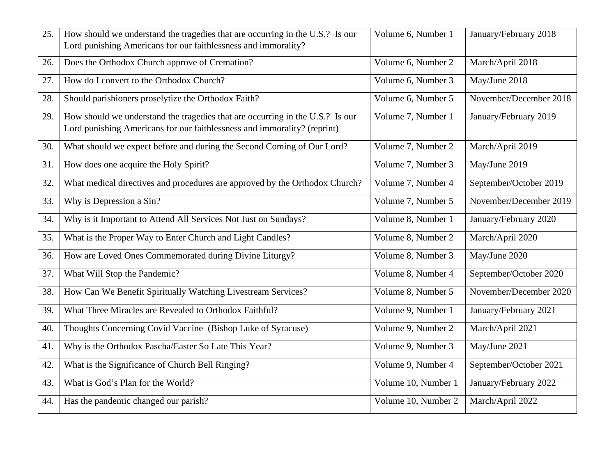| 25. | How should we understand the tragedies that are occurring in the U.S.? Is our<br>Lord punishing Americans for our faithlessness and immorality?           | Volume 6, Number 1  | January/February 2018  |
|-----|-----------------------------------------------------------------------------------------------------------------------------------------------------------|---------------------|------------------------|
| 26. | Does the Orthodox Church approve of Cremation?                                                                                                            | Volume 6, Number 2  | March/April 2018       |
| 27. | How do I convert to the Orthodox Church?                                                                                                                  | Volume 6, Number 3  | May/June 2018          |
| 28. | Should parishioners proselytize the Orthodox Faith?                                                                                                       | Volume 6, Number 5  | November/December 2018 |
| 29. | How should we understand the tragedies that are occurring in the U.S.? Is our<br>Lord punishing Americans for our faithlessness and immorality? (reprint) | Volume 7, Number 1  | January/February 2019  |
| 30. | What should we expect before and during the Second Coming of Our Lord?                                                                                    | Volume 7, Number 2  | March/April 2019       |
| 31. | How does one acquire the Holy Spirit?                                                                                                                     | Volume 7, Number 3  | May/June 2019          |
| 32. | What medical directives and procedures are approved by the Orthodox Church?                                                                               | Volume 7, Number 4  | September/October 2019 |
| 33. | Why is Depression a Sin?                                                                                                                                  | Volume 7, Number 5  | November/December 2019 |
| 34. | Why is it Important to Attend All Services Not Just on Sundays?                                                                                           | Volume 8, Number 1  | January/February 2020  |
| 35. | What is the Proper Way to Enter Church and Light Candles?                                                                                                 | Volume 8, Number 2  | March/April 2020       |
| 36. | How are Loved Ones Commemorated during Divine Liturgy?                                                                                                    | Volume 8, Number 3  | May/June 2020          |
| 37. | What Will Stop the Pandemic?                                                                                                                              | Volume 8, Number 4  | September/October 2020 |
| 38. | How Can We Benefit Spiritually Watching Livestream Services?                                                                                              | Volume 8, Number 5  | November/December 2020 |
| 39. | What Three Miracles are Revealed to Orthodox Faithful?                                                                                                    | Volume 9, Number 1  | January/February 2021  |
| 40. | Thoughts Concerning Covid Vaccine (Bishop Luke of Syracuse)                                                                                               | Volume 9, Number 2  | March/April 2021       |
| 41. | Why is the Orthodox Pascha/Easter So Late This Year?                                                                                                      | Volume 9, Number 3  | May/June 2021          |
| 42. | What is the Significance of Church Bell Ringing?                                                                                                          | Volume 9, Number 4  | September/October 2021 |
| 43. | What is God's Plan for the World?                                                                                                                         | Volume 10, Number 1 | January/February 2022  |
| 44. | Has the pandemic changed our parish?                                                                                                                      | Volume 10, Number 2 | March/April 2022       |